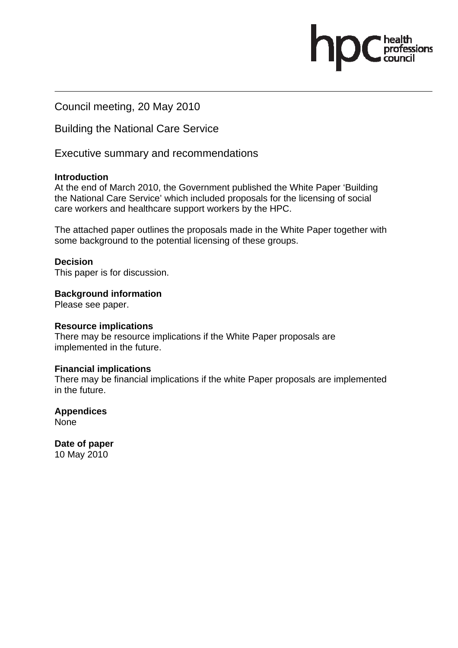Council meeting, 20 May 2010

Building the National Care Service

Executive summary and recommendations

### **Introduction**

At the end of March 2010, the Government published the White Paper 'Building the National Care Service' which included proposals for the licensing of social care workers and healthcare support workers by the HPC.

ofessions

The attached paper outlines the proposals made in the White Paper together with some background to the potential licensing of these groups.

### **Decision**

This paper is for discussion.

**Background information** 

Please see paper.

### **Resource implications**

There may be resource implications if the White Paper proposals are implemented in the future.

### **Financial implications**

There may be financial implications if the white Paper proposals are implemented in the future.

**Appendices**  None

**Date of paper**  10 May 2010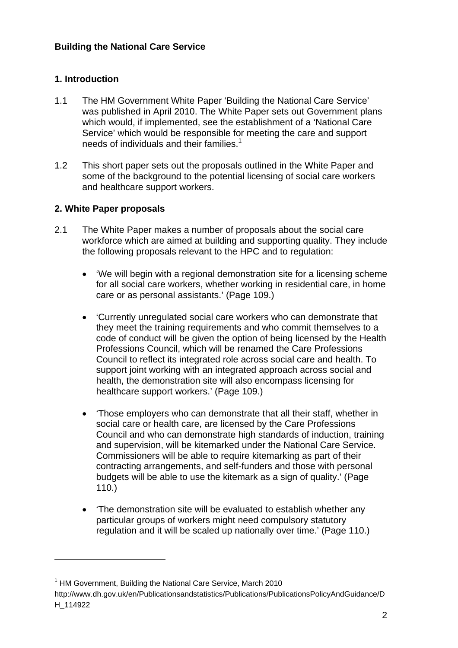# **1. Introduction**

- 1.1 The HM Government White Paper 'Building the National Care Service' was published in April 2010. The White Paper sets out Government plans which would, if implemented, see the establishment of a 'National Care Service' which would be responsible for meeting the care and support needs of individuals and their families.<sup>1</sup>
- 1.2 This short paper sets out the proposals outlined in the White Paper and some of the background to the potential licensing of social care workers and healthcare support workers.

# **2. White Paper proposals**

- 2.1 The White Paper makes a number of proposals about the social care workforce which are aimed at building and supporting quality. They include the following proposals relevant to the HPC and to regulation:
	- 'We will begin with a regional demonstration site for a licensing scheme for all social care workers, whether working in residential care, in home care or as personal assistants.' (Page 109.)
	- 'Currently unregulated social care workers who can demonstrate that they meet the training requirements and who commit themselves to a code of conduct will be given the option of being licensed by the Health Professions Council, which will be renamed the Care Professions Council to reflect its integrated role across social care and health. To support joint working with an integrated approach across social and health, the demonstration site will also encompass licensing for healthcare support workers.' (Page 109.)
	- 'Those employers who can demonstrate that all their staff, whether in social care or health care, are licensed by the Care Professions Council and who can demonstrate high standards of induction, training and supervision, will be kitemarked under the National Care Service. Commissioners will be able to require kitemarking as part of their contracting arrangements, and self-funders and those with personal budgets will be able to use the kitemark as a sign of quality.' (Page 110.)
	- 'The demonstration site will be evaluated to establish whether any particular groups of workers might need compulsory statutory regulation and it will be scaled up nationally over time.' (Page 110.)

 $\overline{a}$ 

<sup>&</sup>lt;sup>1</sup> HM Government, Building the National Care Service, March 2010

http://www.dh.gov.uk/en/Publicationsandstatistics/Publications/PublicationsPolicyAndGuidance/D H\_114922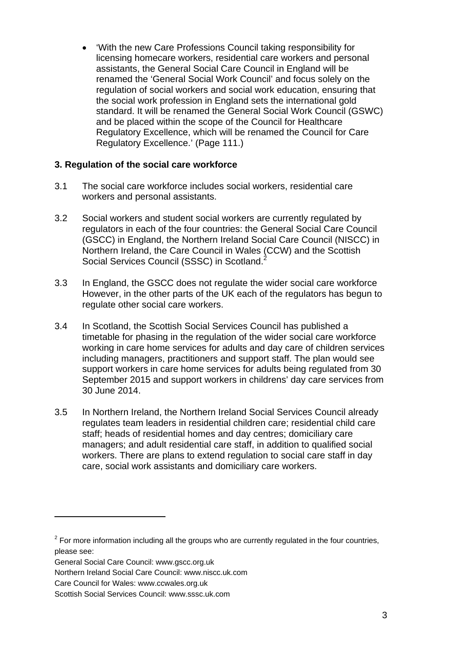• 'With the new Care Professions Council taking responsibility for licensing homecare workers, residential care workers and personal assistants, the General Social Care Council in England will be renamed the 'General Social Work Council' and focus solely on the regulation of social workers and social work education, ensuring that the social work profession in England sets the international gold standard. It will be renamed the General Social Work Council (GSWC) and be placed within the scope of the Council for Healthcare Regulatory Excellence, which will be renamed the Council for Care Regulatory Excellence.' (Page 111.)

### **3. Regulation of the social care workforce**

- 3.1 The social care workforce includes social workers, residential care workers and personal assistants.
- 3.2 Social workers and student social workers are currently regulated by regulators in each of the four countries: the General Social Care Council (GSCC) in England, the Northern Ireland Social Care Council (NISCC) in Northern Ireland, the Care Council in Wales (CCW) and the Scottish Social Services Council (SSSC) in Scotland.<sup>2</sup>
- 3.3 In England, the GSCC does not regulate the wider social care workforce However, in the other parts of the UK each of the regulators has begun to regulate other social care workers.
- 3.4 In Scotland, the Scottish Social Services Council has published a timetable for phasing in the regulation of the wider social care workforce working in care home services for adults and day care of children services including managers, practitioners and support staff. The plan would see support workers in care home services for adults being regulated from 30 September 2015 and support workers in childrens' day care services from 30 June 2014.
- 3.5 In Northern Ireland, the Northern Ireland Social Services Council already regulates team leaders in residential children care; residential child care staff; heads of residential homes and day centres; domiciliary care managers; and adult residential care staff, in addition to qualified social workers. There are plans to extend regulation to social care staff in day care, social work assistants and domiciliary care workers.

 $\overline{a}$ 

 $2$  For more information including all the groups who are currently regulated in the four countries, please see:

General Social Care Council: www.gscc.org.uk

Northern Ireland Social Care Council: www.niscc.uk.com

Care Council for Wales: www.ccwales.org.uk

Scottish Social Services Council: www.sssc.uk.com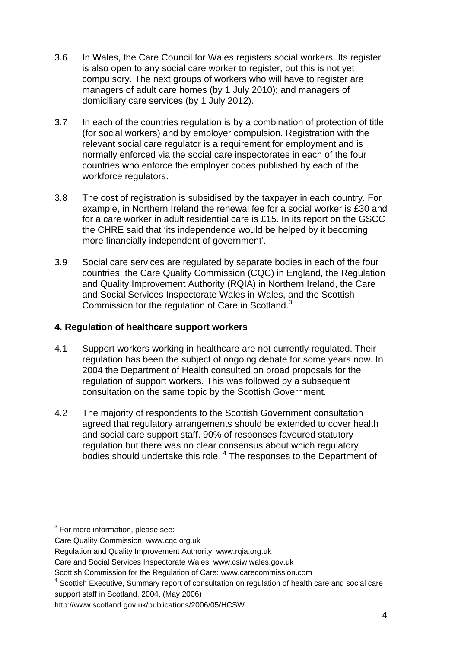- 3.6 In Wales, the Care Council for Wales registers social workers. Its register is also open to any social care worker to register, but this is not yet compulsory. The next groups of workers who will have to register are managers of adult care homes (by 1 July 2010); and managers of domiciliary care services (by 1 July 2012).
- 3.7 In each of the countries regulation is by a combination of protection of title (for social workers) and by employer compulsion. Registration with the relevant social care regulator is a requirement for employment and is normally enforced via the social care inspectorates in each of the four countries who enforce the employer codes published by each of the workforce regulators.
- 3.8 The cost of registration is subsidised by the taxpayer in each country. For example, in Northern Ireland the renewal fee for a social worker is £30 and for a care worker in adult residential care is £15. In its report on the GSCC the CHRE said that 'its independence would be helped by it becoming more financially independent of government'.
- 3.9 Social care services are regulated by separate bodies in each of the four countries: the Care Quality Commission (CQC) in England, the Regulation and Quality Improvement Authority (RQIA) in Northern Ireland, the Care and Social Services Inspectorate Wales in Wales, and the Scottish Commission for the regulation of Care in Scotland. $3$

## **4. Regulation of healthcare support workers**

- 4.1 Support workers working in healthcare are not currently regulated. Their regulation has been the subject of ongoing debate for some years now. In 2004 the Department of Health consulted on broad proposals for the regulation of support workers. This was followed by a subsequent consultation on the same topic by the Scottish Government.
- 4.2 The majority of respondents to the Scottish Government consultation agreed that regulatory arrangements should be extended to cover health and social care support staff. 90% of responses favoured statutory regulation but there was no clear consensus about which regulatory bodies should undertake this role.<sup>4</sup> The responses to the Department of

 $3$  For more information, please see:

Care Quality Commission: www.cqc.org.uk

Regulation and Quality Improvement Authority: www.rqia.org.uk

Care and Social Services Inspectorate Wales: www.csiw.wales.gov.uk

Scottish Commission for the Regulation of Care: www.carecommission.com

<sup>&</sup>lt;sup>4</sup> Scottish Executive, Summary report of consultation on regulation of health care and social care support staff in Scotland, 2004, (May 2006)

http://www.scotland.gov.uk/publications/2006/05/HCSW.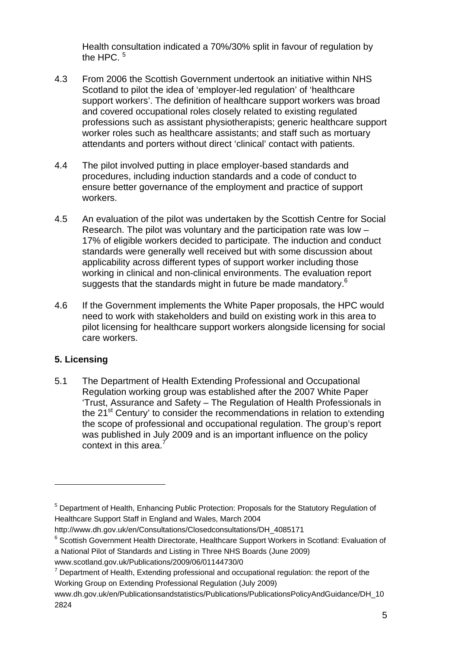Health consultation indicated a 70%/30% split in favour of regulation by the HPC.  $5$ 

- 4.3 From 2006 the Scottish Government undertook an initiative within NHS Scotland to pilot the idea of 'employer-led regulation' of 'healthcare support workers'. The definition of healthcare support workers was broad and covered occupational roles closely related to existing regulated professions such as assistant physiotherapists; generic healthcare support worker roles such as healthcare assistants; and staff such as mortuary attendants and porters without direct 'clinical' contact with patients.
- 4.4 The pilot involved putting in place employer-based standards and procedures, including induction standards and a code of conduct to ensure better governance of the employment and practice of support workers.
- 4.5 An evaluation of the pilot was undertaken by the Scottish Centre for Social Research. The pilot was voluntary and the participation rate was low – 17% of eligible workers decided to participate. The induction and conduct standards were generally well received but with some discussion about applicability across different types of support worker including those working in clinical and non-clinical environments. The evaluation report suggests that the standards might in future be made mandatory.<sup>6</sup>
- 4.6 If the Government implements the White Paper proposals, the HPC would need to work with stakeholders and build on existing work in this area to pilot licensing for healthcare support workers alongside licensing for social care workers.

## **5. Licensing**

 $\overline{a}$ 

5.1 The Department of Health Extending Professional and Occupational Regulation working group was established after the 2007 White Paper 'Trust, Assurance and Safety – The Regulation of Health Professionals in the 21<sup>st</sup> Century' to consider the recommendations in relation to extending the scope of professional and occupational regulation. The group's report was published in July 2009 and is an important influence on the policy context in this area.

<sup>&</sup>lt;sup>5</sup> Department of Health, Enhancing Public Protection: Proposals for the Statutory Regulation of Healthcare Support Staff in England and Wales, March 2004

http://www.dh.gov.uk/en/Consultations/Closedconsultations/DH\_4085171

<sup>&</sup>lt;sup>6</sup> Scottish Government Health Directorate, Healthcare Support Workers in Scotland: Evaluation of a National Pilot of Standards and Listing in Three NHS Boards (June 2009)

www.scotland.gov.uk/Publications/2009/06/01144730/0 7

 $\frac{7}{1}$  Department of Health, Extending professional and occupational regulation: the report of the Working Group on Extending Professional Regulation (July 2009)

www.dh.gov.uk/en/Publicationsandstatistics/Publications/PublicationsPolicyAndGuidance/DH\_10 2824